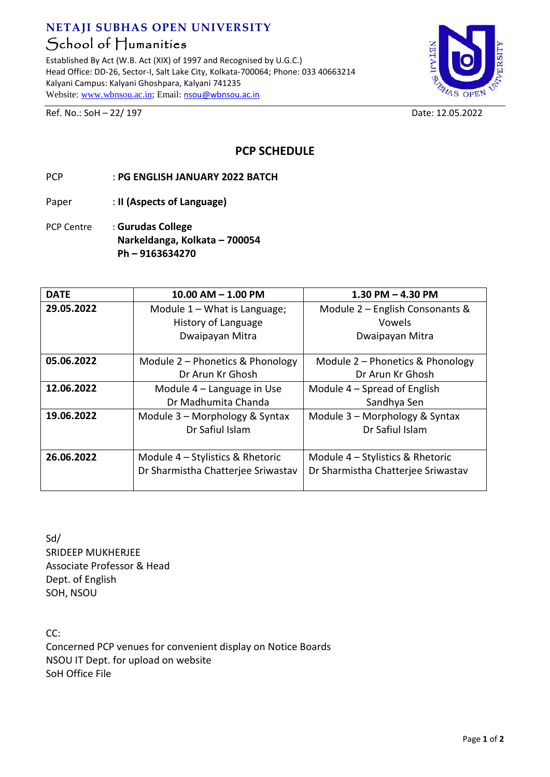## **NETAJI SUBHAS OPEN UNIVERSITY** School of Humanities

Established By Act (W.B. Act (XIX) of 1997 and Recognised by U.G.C.) Head Office: DD-26, Sector-I, Salt Lake City, Kolkata-700064; Phone: 033 40663214 Kalyani Campus: Kalyani Ghoshpara, Kalyani 741235 Website[: www.wbnsou.ac.in;](http://www.wbnsou.ac.in/) Email: [nsou@wbnsou.ac.in](mailto:nsou@wbnsou.ac.in)



Ref. No.: SoH – 22/ 197 Date: 12.05.2022

**PCP SCHEDULE** 

- PCP : **PG ENGLISH JANUARY 2022 BATCH**
- Paper : **II (Aspects of Language)**
- PCP Centre : **Gurudas College Narkeldanga, Kolkata – 700054 Ph – 9163634270**

| <b>DATE</b> | $10.00$ AM $- 1.00$ PM             | $1.30$ PM $-$ 4.30 PM              |
|-------------|------------------------------------|------------------------------------|
| 29.05.2022  | Module $1 -$ What is Language;     | Module 2 – English Consonants &    |
|             | History of Language                | Vowels                             |
|             | Dwaipayan Mitra                    | Dwaipayan Mitra                    |
|             |                                    |                                    |
| 05.06.2022  | Module 2 – Phonetics & Phonology   | Module 2 – Phonetics & Phonology   |
|             | Dr Arun Kr Ghosh                   | Dr Arun Kr Ghosh                   |
| 12.06.2022  | Module $4$ – Language in Use       | Module $4$ – Spread of English     |
|             | Dr Madhumita Chanda                | Sandhya Sen                        |
| 19.06.2022  | Module 3 - Morphology & Syntax     | Module 3 - Morphology & Syntax     |
|             | Dr Safiul Islam                    | Dr Safiul Islam                    |
|             |                                    |                                    |
| 26.06.2022  | Module 4 – Stylistics & Rhetoric   | Module 4 – Stylistics & Rhetoric   |
|             | Dr Sharmistha Chatterjee Sriwastav | Dr Sharmistha Chatterjee Sriwastav |
|             |                                    |                                    |

Sd/ SRIDEEP MUKHERJEE Associate Professor & Head Dept. of English SOH, NSOU

CC: Concerned PCP venues for convenient display on Notice Boards NSOU IT Dept. for upload on website SoH Office File